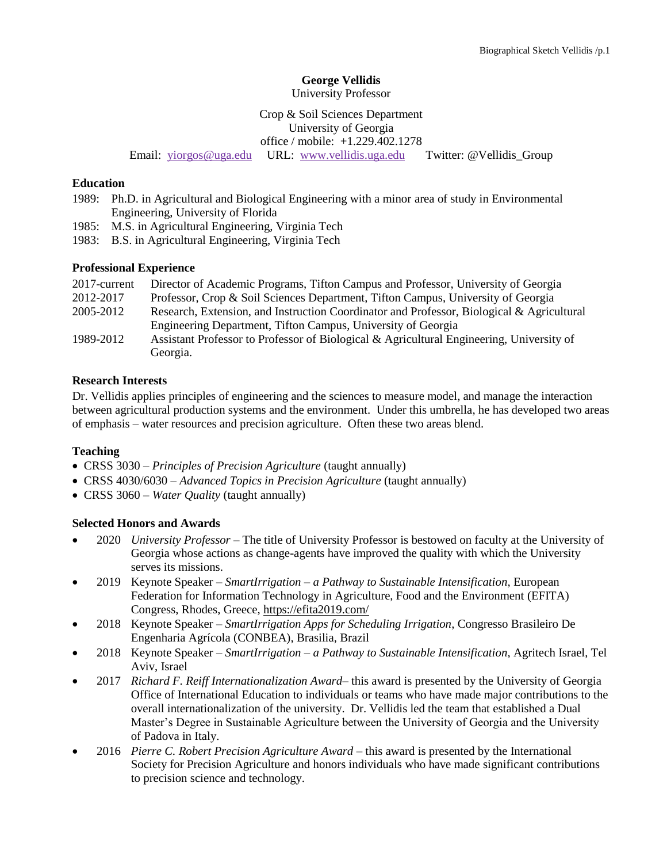## **George Vellidis**

University Professor

## Crop & Soil Sciences Department University of Georgia office / mobile: +1.229.402.1278 Email: [yiorgos@uga.edu](mailto:yiorgos@uga.edu) URL: [www.vellidis.uga.edu](http://www.vellidis.uga.edu/) Twitter: @Vellidis\_Group

#### **Education**

- 1989: Ph.D. in Agricultural and Biological Engineering with a minor area of study in Environmental Engineering, University of Florida
- 1985: M.S. in Agricultural Engineering, Virginia Tech
- 1983: B.S. in Agricultural Engineering, Virginia Tech

#### **Professional Experience**

| 2017-current | Director of Academic Programs, Tifton Campus and Professor, University of Georgia         |
|--------------|-------------------------------------------------------------------------------------------|
| 2012-2017    | Professor, Crop & Soil Sciences Department, Tifton Campus, University of Georgia          |
| 2005-2012    | Research, Extension, and Instruction Coordinator and Professor, Biological & Agricultural |
|              | Engineering Department, Tifton Campus, University of Georgia                              |
| 1989-2012    | Assistant Professor to Professor of Biological & Agricultural Engineering, University of  |
|              | Georgia.                                                                                  |

#### **Research Interests**

Dr. Vellidis applies principles of engineering and the sciences to measure model, and manage the interaction between agricultural production systems and the environment. Under this umbrella, he has developed two areas of emphasis – water resources and precision agriculture. Often these two areas blend.

#### **Teaching**

- CRSS 3030 *Principles of Precision Agriculture* (taught annually)
- CRSS 4030/6030 *Advanced Topics in Precision Agriculture* (taught annually)
- CRSS 3060 *Water Quality* (taught annually)

#### **Selected Honors and Awards**

- 2020 *University Professor* The title of University Professor is bestowed on faculty at the University of Georgia whose actions as change-agents have improved the quality with which the University serves its missions.
- 2019 Keynote Speaker *SmartIrrigation – a Pathway to Sustainable Intensification*, European Federation for Information Technology in Agriculture, Food and the Environment (EFITA) Congress, Rhodes, Greece,<https://efita2019.com/>
- 2018 Keynote Speaker *SmartIrrigation Apps for Scheduling Irrigation*, Congresso Brasileiro De Engenharia Agrícola (CONBEA), Brasilia, Brazil
- 2018 Keynote Speaker *SmartIrrigation – a Pathway to Sustainable Intensification*, Agritech Israel, Tel Aviv, Israel
- 2017 *Richard F. Reiff Internationalization Award–* this award is presented by the University of Georgia Office of International Education to individuals or teams who have made major contributions to the overall internationalization of the university. Dr. Vellidis led the team that established a Dual Master's Degree in Sustainable Agriculture between the University of Georgia and the University of Padova in Italy.
- 2016 *Pierre C. Robert Precision Agriculture Award* this award is presented by the International Society for Precision Agriculture and honors individuals who have made significant contributions to precision science and technology.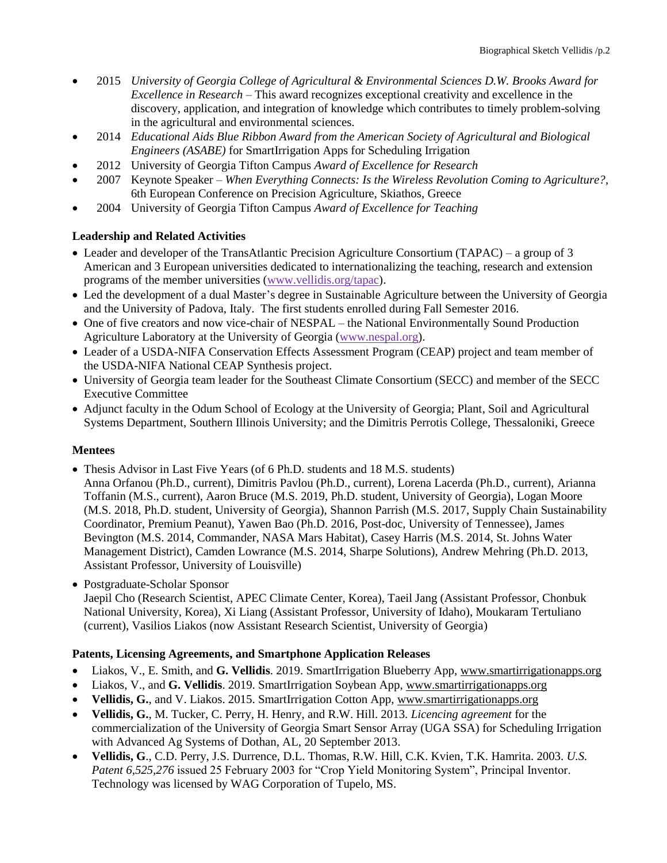- 2015 *University of Georgia College of Agricultural & Environmental Sciences D.W. Brooks Award for Excellence in Research* – This award recognizes exceptional creativity and excellence in the discovery, application, and integration of knowledge which contributes to timely problem-solving in the agricultural and environmental sciences.
- 2014 *Educational Aids Blue Ribbon Award from the American Society of Agricultural and Biological Engineers (ASABE)* for SmartIrrigation Apps for Scheduling Irrigation
- 2012 University of Georgia Tifton Campus *Award of Excellence for Research*
- 2007 Keynote Speaker *When Everything Connects: Is the Wireless Revolution Coming to Agriculture?*, 6th European Conference on Precision Agriculture, Skiathos, Greece
- 2004 University of Georgia Tifton Campus *Award of Excellence for Teaching*

# **Leadership and Related Activities**

- Leader and developer of the TransAtlantic Precision Agriculture Consortium (TAPAC) a group of 3 American and 3 European universities dedicated to internationalizing the teaching, research and extension programs of the member universities [\(www.vellidis.org/tapac\)](http://www.vellidis.org/tapac).
- Led the development of a dual Master's degree in Sustainable Agriculture between the University of Georgia and the University of Padova, Italy. The first students enrolled during Fall Semester 2016.
- One of five creators and now vice-chair of NESPAL the National Environmentally Sound Production Agriculture Laboratory at the University of Georgia [\(www.nespal.org\)](http://www.nespal.org/).
- Leader of a USDA-NIFA Conservation Effects Assessment Program (CEAP) project and team member of the USDA-NIFA National CEAP Synthesis project.
- University of Georgia team leader for the Southeast Climate Consortium (SECC) and member of the SECC Executive Committee
- Adjunct faculty in the Odum School of Ecology at the University of Georgia; Plant, Soil and Agricultural Systems Department, Southern Illinois University; and the Dimitris Perrotis College, Thessaloniki, Greece

#### **Mentees**

- Thesis Advisor in Last Five Years (of 6 Ph.D. students and 18 M.S. students) Anna Orfanou (Ph.D., current), Dimitris Pavlou (Ph.D., current), Lorena Lacerda (Ph.D., current), Arianna Toffanin (M.S., current), Aaron Bruce (M.S. 2019, Ph.D. student, University of Georgia), Logan Moore (M.S. 2018, Ph.D. student, University of Georgia), Shannon Parrish (M.S. 2017, Supply Chain Sustainability Coordinator, Premium Peanut), Yawen Bao (Ph.D. 2016, Post-doc, University of Tennessee), James Bevington (M.S. 2014, Commander, NASA Mars Habitat), Casey Harris (M.S. 2014, St. Johns Water Management District), Camden Lowrance (M.S. 2014, Sharpe Solutions), Andrew Mehring (Ph.D. 2013, Assistant Professor, University of Louisville)
- Postgraduate-Scholar Sponsor

Jaepil Cho (Research Scientist, APEC Climate Center, Korea), Taeil Jang (Assistant Professor, Chonbuk National University, Korea), Xi Liang (Assistant Professor, University of Idaho), Moukaram Tertuliano (current), Vasilios Liakos (now Assistant Research Scientist, University of Georgia)

## **Patents, Licensing Agreements, and Smartphone Application Releases**

- Liakos, V., E. Smith, and **G. Vellidis**. 2019. SmartIrrigation Blueberry App, [www.smartirrigationapps.org](http://www.smartirrigationapps.org/)
- Liakos, V., and **G. Vellidis**. 2019. SmartIrrigation Soybean App[, www.smartirrigationapps.org](http://www.smartirrigationapps.org/)
- **Vellidis, G.**, and V. Liakos. 2015. SmartIrrigation Cotton App, [www.smartirrigationapps.org](http://www.smartirrigationapps.org/)
- **Vellidis, G.**, M. Tucker, C. Perry, H. Henry, and R.W. Hill. 2013. *Licencing agreement* for the commercialization of the University of Georgia Smart Sensor Array (UGA SSA) for Scheduling Irrigation with Advanced Ag Systems of Dothan, AL, 20 September 2013.
- **Vellidis, G**., C.D. Perry, J.S. Durrence, D.L. Thomas, R.W. Hill, C.K. Kvien, T.K. Hamrita. 2003. *U.S. Patent 6,525,276* issued 25 February 2003 for "Crop Yield Monitoring System", Principal Inventor. Technology was licensed by WAG Corporation of Tupelo, MS.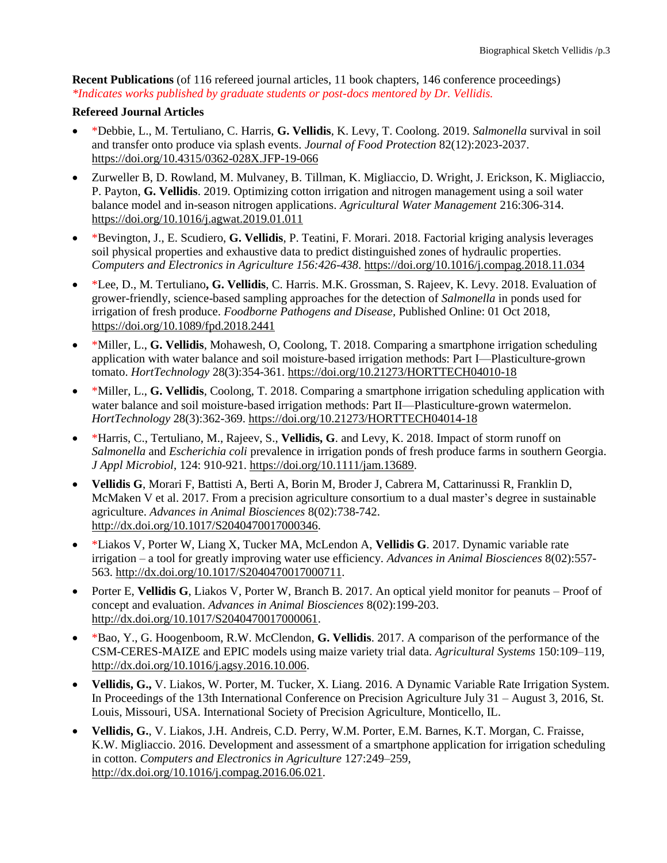**Recent Publications** (of 116 refereed journal articles, 11 book chapters, 146 conference proceedings) *\*Indicates works published by graduate students or post-docs mentored by Dr. Vellidis.*

### **Refereed Journal Articles**

- \*Debbie, L., M. Tertuliano, C. Harris, **G. Vellidis**, K. Levy, T. Coolong. 2019. *Salmonella* survival in soil and transfer onto produce via splash events. *Journal of Food Protection* 82(12):2023-2037. <https://doi.org/10.4315/0362-028X.JFP-19-066>
- Zurweller B, D. Rowland, M. Mulvaney, B. Tillman, K. Migliaccio, D. Wright, J. Erickson, K. Migliaccio, P. Payton, **G. Vellidis**. 2019. Optimizing cotton irrigation and nitrogen management using a soil water balance model and in-season nitrogen applications. *Agricultural Water Management* 216:306-314. <https://doi.org/10.1016/j.agwat.2019.01.011>
- \*Bevington, J., E. Scudiero, **G. Vellidis**, P. Teatini, F. Morari. 2018. Factorial kriging analysis leverages soil physical properties and exhaustive data to predict distinguished zones of hydraulic properties. *Computers and Electronics in Agriculture 156:426-438*.<https://doi.org/10.1016/j.compag.2018.11.034>
- \*Lee, D., M. Tertuliano**, G. Vellidis**, C. Harris. M.K. Grossman, S. Rajeev, K. Levy. 2018. Evaluation of grower-friendly, science-based sampling approaches for the detection of *Salmonella* in ponds used for irrigation of fresh produce. *Foodborne Pathogens and Disease,* Published Online: 01 Oct 2018, <https://doi.org/10.1089/fpd.2018.2441>
- \*Miller, L., **G. Vellidis**, Mohawesh, O, Coolong, T. 2018. Comparing a smartphone irrigation scheduling application with water balance and soil moisture-based irrigation methods: Part I—Plasticulture-grown tomato. *HortTechnology* 28(3):354-361.<https://doi.org/10.21273/HORTTECH04010-18>
- \*Miller, L., **G. Vellidis**, Coolong, T. 2018. Comparing a smartphone irrigation scheduling application with water balance and soil moisture-based irrigation methods: Part II—Plasticulture-grown watermelon. *HortTechnology* 28(3):362-369.<https://doi.org/10.21273/HORTTECH04014-18>
- \*Harris, C., Tertuliano, M., Rajeev, S., **Vellidis, G**. and Levy, K. 2018. Impact of storm runoff on *Salmonella* and *Escherichia coli* prevalence in irrigation ponds of fresh produce farms in southern Georgia. *J Appl Microbiol*, 124: 910-921. [https://doi.org/10.1111/jam.13689.](https://doi.org/10.1111/jam.13689)
- **Vellidis G**, Morari F, Battisti A, Berti A, Borin M, Broder J, Cabrera M, Cattarinussi R, Franklin D, McMaken V et al. 2017. From a precision agriculture consortium to a dual master's degree in sustainable agriculture. *Advances in Animal Biosciences* 8(02):738-742. [http://dx.doi.org/10.1017/S2040470017000346.](http://dx.doi.org/10.1017/S2040470017000346)
- \*Liakos V, Porter W, Liang X, Tucker MA, McLendon A, **Vellidis G**. 2017. Dynamic variable rate irrigation – a tool for greatly improving water use efficiency. *Advances in Animal Biosciences* 8(02):557- 563. [http://dx.doi.org/10.1017/S2040470017000711.](http://dx.doi.org/10.1017/S2040470017000711)
- Porter E, **Vellidis G**, Liakos V, Porter W, Branch B. 2017. An optical yield monitor for peanuts Proof of concept and evaluation. *Advances in Animal Biosciences* 8(02):199-203. [http://dx.doi.org/10.1017/S2040470017000061.](http://dx.doi.org/10.1017/S2040470017000061)
- \*Bao, Y., G. Hoogenboom, R.W. McClendon, **G. Vellidis**. 2017. A comparison of the performance of the CSM-CERES-MAIZE and EPIC models using maize variety trial data. *Agricultural Systems* 150:109–119, [http://dx.doi.org/10.1016/j.agsy.2016.10.006.](http://dx.doi.org/10.1016/j.agsy.2016.10.006)
- **Vellidis, G.,** V. Liakos, W. Porter, M. Tucker, X. Liang. 2016. A Dynamic Variable Rate Irrigation System. In Proceedings of the 13th International Conference on Precision Agriculture July 31 – August 3, 2016, St. Louis, Missouri, USA. International Society of Precision Agriculture, Monticello, IL.
- **Vellidis, G.**, V. Liakos, J.H. Andreis, C.D. Perry, W.M. Porter, E.M. Barnes, K.T. Morgan, C. Fraisse, K.W. Migliaccio. 2016. Development and assessment of a smartphone application for irrigation scheduling in cotton. *Computers and Electronics in Agriculture* 127:249–259, [http://dx.doi.org/10.1016/j.compag.2016.06.021.](http://dx.doi.org/10.1016/j.compag.2016.06.021)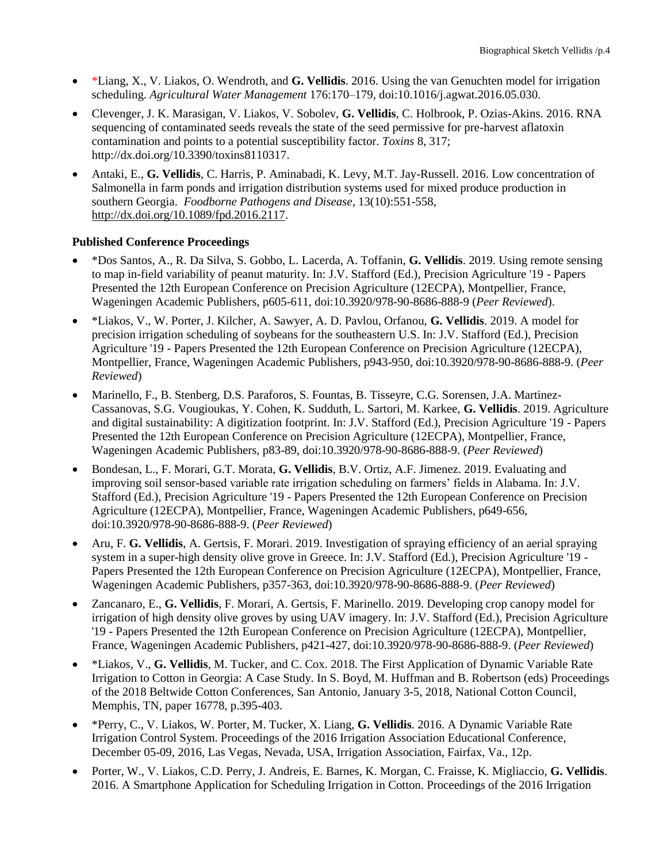- \*Liang, X., V. Liakos, O. Wendroth, and **G. Vellidis**. 2016. Using the van Genuchten model for irrigation scheduling. *Agricultural Water Management* 176:170–179, doi:10.1016/j.agwat.2016.05.030.
- Clevenger, J. K. Marasigan, V. Liakos, V. Sobolev, **G. Vellidis**, C. Holbrook, P. Ozias-Akins. 2016. RNA sequencing of contaminated seeds reveals the state of the seed permissive for pre-harvest aflatoxin contamination and points to a potential susceptibility factor. *Toxins* 8, 317; http://dx.doi.org/10.3390/toxins8110317.
- Antaki, E., **G. Vellidis**, C. Harris, P. Aminabadi, K. Levy, M.T. Jay-Russell. 2016. Low concentration of Salmonella in farm ponds and irrigation distribution systems used for mixed produce production in southern Georgia. *Foodborne Pathogens and Disease*, 13(10):551-558, [http://dx.doi.org/10.1089/fpd.2016.2117.](http://dx.doi.org/10.1089/fpd.2016.2117)

## **Published Conference Proceedings**

- \*Dos Santos, A., R. Da Silva, S. Gobbo, L. Lacerda, A. Toffanin, **G. Vellidis**. 2019. Using remote sensing to map in-field variability of peanut maturity. In: J.V. Stafford (Ed.), Precision Agriculture '19 - Papers Presented the 12th European Conference on Precision Agriculture (12ECPA), Montpellier, France, Wageningen Academic Publishers, p605-611, doi:10.3920/978-90-8686-888-9 (*Peer Reviewed*).
- \*Liakos, V., W. Porter, J. Kilcher, A. Sawyer, A. D. Pavlou, Orfanou, **G. Vellidis**. 2019. A model for precision irrigation scheduling of soybeans for the southeastern U.S. In: J.V. Stafford (Ed.), Precision Agriculture '19 - Papers Presented the 12th European Conference on Precision Agriculture (12ECPA), Montpellier, France, Wageningen Academic Publishers, p943-950, doi:10.3920/978-90-8686-888-9. (*Peer Reviewed*)
- Marinello, F., B. Stenberg, D.S. Paraforos, S. Fountas, B. Tisseyre, C.G. Sorensen, J.A. Martinez-Cassanovas, S.G. Vougioukas, Y. Cohen, K. Sudduth, L. Sartori, M. Karkee, **G. Vellidis**. 2019. Agriculture and digital sustainability: A digitization footprint. In: J.V. Stafford (Ed.), Precision Agriculture '19 - Papers Presented the 12th European Conference on Precision Agriculture (12ECPA), Montpellier, France, Wageningen Academic Publishers, p83-89, doi:10.3920/978-90-8686-888-9. (*Peer Reviewed*)
- Bondesan, L., F. Morari, G.T. Morata, **G. Vellidis**, B.V. Ortiz, A.F. Jimenez. 2019. Evaluating and improving soil sensor-based variable rate irrigation scheduling on farmers' fields in Alabama. In: J.V. Stafford (Ed.), Precision Agriculture '19 - Papers Presented the 12th European Conference on Precision Agriculture (12ECPA), Montpellier, France, Wageningen Academic Publishers, p649-656, doi:10.3920/978-90-8686-888-9. (*Peer Reviewed*)
- Aru, F. **G. Vellidis**, A. Gertsis, F. Morari. 2019. Investigation of spraying efficiency of an aerial spraying system in a super-high density olive grove in Greece. In: J.V. Stafford (Ed.), Precision Agriculture '19 - Papers Presented the 12th European Conference on Precision Agriculture (12ECPA), Montpellier, France, Wageningen Academic Publishers, p357-363, doi:10.3920/978-90-8686-888-9. (*Peer Reviewed*)
- Zancanaro, E., **G. Vellidis**, F. Morari, A. Gertsis, F. Marinello. 2019. Developing crop canopy model for irrigation of high density olive groves by using UAV imagery. In: J.V. Stafford (Ed.), Precision Agriculture '19 - Papers Presented the 12th European Conference on Precision Agriculture (12ECPA), Montpellier, France, Wageningen Academic Publishers, p421-427, doi:10.3920/978-90-8686-888-9. (*Peer Reviewed*)
- \*Liakos, V., **G. Vellidis**, M. Tucker, and C. Cox. 2018. The First Application of Dynamic Variable Rate Irrigation to Cotton in Georgia: A Case Study. In S. Boyd, M. Huffman and B. Robertson (eds) Proceedings of the 2018 Beltwide Cotton Conferences, San Antonio, January 3-5, 2018, National Cotton Council, Memphis, TN, paper 16778, p.395-403.
- \*Perry, C., V. Liakos, W. Porter, M. Tucker, X. Liang, **G. Vellidis**. 2016. A Dynamic Variable Rate Irrigation Control System. Proceedings of the 2016 Irrigation Association Educational Conference, December 05-09, 2016, Las Vegas, Nevada, USA, Irrigation Association, Fairfax, Va., 12p.
- Porter, W., V. Liakos, C.D. Perry, J. Andreis, E. Barnes, K. Morgan, C. Fraisse, K. Migliaccio, **G. Vellidis**. 2016. A Smartphone Application for Scheduling Irrigation in Cotton. Proceedings of the 2016 Irrigation